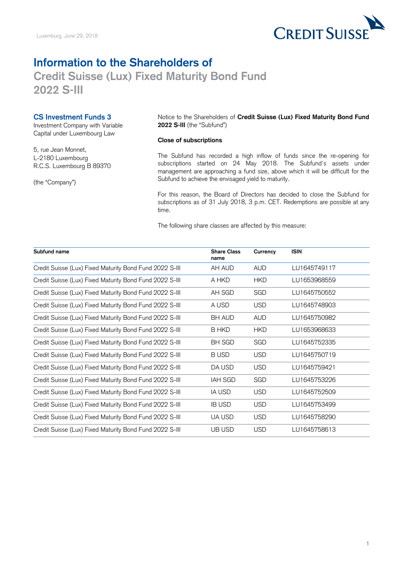

## **Credit Suisse (Lux) Fixed Maturity Bond Fund Information to the Shareholders of 2022 S-III**

## **CS Investment Funds 3**

Investment Company with Variable Capital under Luxembourg Law

5, rue Jean Monnet, L-2180 Luxembourg R.C.S. Luxembourg B 89370

(the "Company")

Notice to the Shareholders of **Credit Suisse (Lux) Fixed Maturity Bond Fund 2022 S-III** (the "Subfund")

## **Close of subscriptions**

 The Subfund has recorded a high inflow of funds since the re-opening for subscriptions started on 24 May 2018. The Subfund's assets under management are approaching a fund size, above which it will be difficult for the Subfund to achieve the envisaged yield to maturity.

 For this reason, the Board of Directors has decided to close the Subfund for subscriptions as of 31 July 2018, 3 p.m. CET. Redemptions are possible at any time.

The following share classes are affected by this measure:

| Subfund name                                            | <b>Share Class</b><br>name | Currency   | <b>ISIN</b>  |
|---------------------------------------------------------|----------------------------|------------|--------------|
| Credit Suisse (Lux) Fixed Maturity Bond Fund 2022 S-III | AH AUD                     | <b>AUD</b> | LU1645749117 |
| Credit Suisse (Lux) Fixed Maturity Bond Fund 2022 S-III | A HKD                      | <b>HKD</b> | LU1653968559 |
| Credit Suisse (Lux) Fixed Maturity Bond Fund 2022 S-III | AH SGD                     | SGD        | LU1645750552 |
| Credit Suisse (Lux) Fixed Maturity Bond Fund 2022 S-III | A USD                      | <b>USD</b> | LU1645748903 |
| Credit Suisse (Lux) Fixed Maturity Bond Fund 2022 S-III | <b>BH AUD</b>              | <b>AUD</b> | LU1645750982 |
| Credit Suisse (Lux) Fixed Maturity Bond Fund 2022 S-III | B HKD                      | <b>HKD</b> | LU1653968633 |
| Credit Suisse (Lux) Fixed Maturity Bond Fund 2022 S-III | <b>BH SGD</b>              | SGD        | LU1645752335 |
| Credit Suisse (Lux) Fixed Maturity Bond Fund 2022 S-III | <b>BUSD</b>                | <b>USD</b> | LU1645750719 |
| Credit Suisse (Lux) Fixed Maturity Bond Fund 2022 S-III | DA USD                     | <b>USD</b> | LU1645759421 |
| Credit Suisse (Lux) Fixed Maturity Bond Fund 2022 S-III | <b>IAH SGD</b>             | SGD        | LU1645753226 |
| Credit Suisse (Lux) Fixed Maturity Bond Fund 2022 S-III | IA USD                     | <b>USD</b> | LU1645752509 |
| Credit Suisse (Lux) Fixed Maturity Bond Fund 2022 S-III | <b>IB USD</b>              | <b>USD</b> | LU1645753499 |
| Credit Suisse (Lux) Fixed Maturity Bond Fund 2022 S-III | UA USD                     | <b>USD</b> | LU1645758290 |
| Credit Suisse (Lux) Fixed Maturity Bond Fund 2022 S-III | UB USD                     | <b>USD</b> | LU1645758613 |